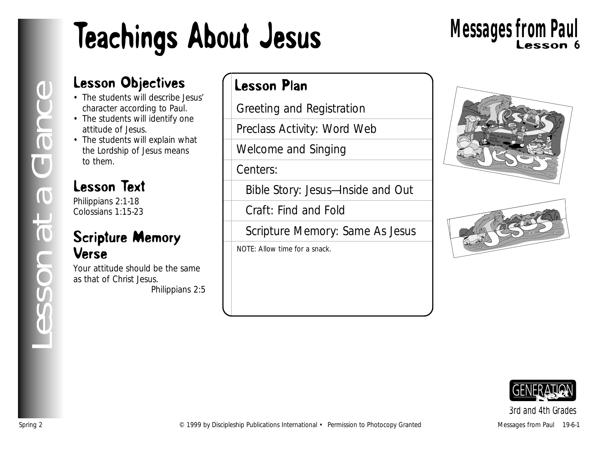# Teachings About Jesus

# Lesson 6 **Messages from Paul**

#### Lesson Objectives • The students will describe Jesus'

- character according to Paul.
- The students will identify one attitude of Jesus.
- The students will explain what the Lordship of Jesus means to them.

#### Lesson Text

Philippians 2:1-18 Colossians 1:15-23

#### Scripture Memory Verse

Your attitude should be the same as that of Christ Jesus.

*Philippians 2:5*

#### Lesson Plan

Greeting and Registration

Preclass Activity: Word Web

Welcome and Singing

Centers:

Bible Story: Jesus—Inside and Out

Craft: Find and Fold

Scripture Memory: Same As Jesus

NOTE: Allow time for a snack.







*3rd and 4th Grades*

*Lesson at a Glance*

esson at a Glance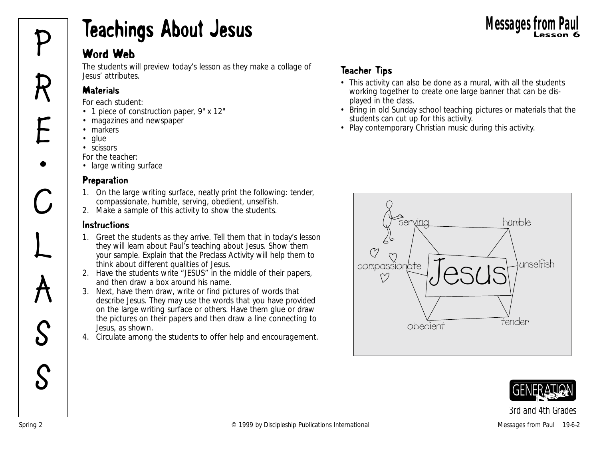# **Teachings About Jesus** Messages from Paul Messages from Paul Proposed and About Jesus About 1981

#### Word Web

The students will preview today's lesson as they make a collage of Jesus' attributes.

#### **Materials**

*For each student:*

- 1 piece of construction paper, 9" x 12"
- magazines and newspaper
- markers
- glue
- scissors

*For the teacher:*

• large writing surface

#### Preparation

- 1. On the large writing surface, neatly print the following: tender, compassionate, humble, serving, obedient, unselfish.
- 2. Make a sample of this activity to show the students.

#### Instructions

- 1. Greet the students as they arrive. Tell them that in today's lesson they will learn about Paul's teaching about Jesus. Show them your sample. Explain that the Preclass Activity will help them to think about different qualities of Jesus.
- 2. Have the students write "JESUS" in the middle of their papers, and then draw a box around his name.
- 3. Next, have them draw, write or find pictures of words that describe Jesus. They may use the words that you have provided on the large writing surface or others. Have them glue or draw the pictures on their papers and then draw a line connecting to Jesus, as shown.
- 4. Circulate among the students to offer help and encouragement.

#### Teacher Tips

- This activity can also be done as a mural, with all the students working together to create one large banner that can be displayed in the class.
- Bring in old Sunday school teaching pictures or materials that the students can cut up for this activity.
- Play contemporary Christian music during this activity.



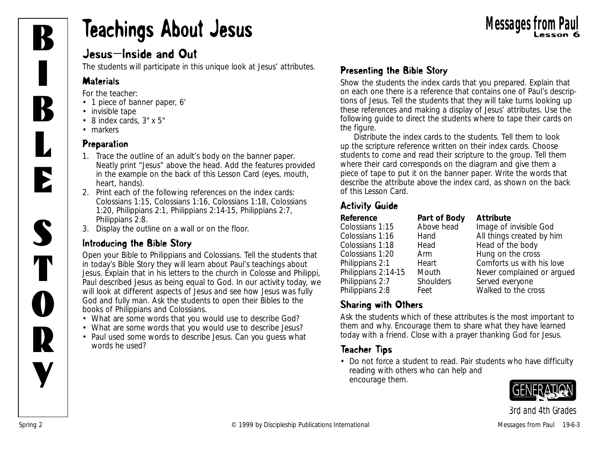## **Teachings About Jesus** Messages from Paul Messages from Paul Lesson 6

#### Jesus—Inside and Out

The students will participate in this unique look at Jesus' attributes.

#### **Materials**

*For the teacher:*

- 1 piece of banner paper, 6'
- invisible tape
- 8 index cards, 3" x 5"
- markers

#### Preparation

- 1. Trace the outline of an adult's body on the banner paper. Neatly print "Jesus" above the head. Add the features provided in the example on the back of this Lesson Card (eyes, mouth, heart, hands).
- 2. Print each of the following references on the index cards: Colossians 1:15, Colossians 1:16, Colossians 1:18, Colossians 1:20, Philippians 2:1, Philippians 2:14-15, Philippians 2:7, Philippians 2:8.
- 3. Display the outline on a wall or on the floor.

#### Introducing the Bible Story

Open your Bible to Philippians and Colossians. Tell the students that in today's Bible Story they will learn about Paul's teachings about Jesus. Explain that in his letters to the church in Colosse and Philippi, Paul described Jesus as being equal to God. *In our activity today, we will look at different aspects of Jesus and see how Jesus was fully God and fully man.* Ask the students to open their Bibles to the books of Philippians and Colossians.

- *What are some words that you would use to describe God?*
- *What are some words that you would use to describe Jesus?*
- *Paul used some words to describe Jesus. Can you guess what words he used?*

#### Presenting the Bible Story

Show the students the index cards that you prepared. Explain that on each one there is a reference that contains one of Paul's descriptions of Jesus. Tell the students that they will take turns looking up these references and making a display of Jesus' attributes. Use the following guide to direct the students where to tape their cards on the figure.

Distribute the index cards to the students. Tell them to look up the scripture reference written on their index cards. Choose students to come and read their scripture to the group. Tell them where their card corresponds on the diagram and give them a piece of tape to put it on the banner paper. Write the words that describe the attribute above the index card, as shown on the back of this Lesson Card.

#### Activity Guide

| Reference           | Part of Body     | Attribute                  |
|---------------------|------------------|----------------------------|
| Colossians 1:15     | Above head       | Image of invisible God     |
| Colossians 1:16     | Hand             | All things created by him  |
| Colossians 1:18     | Head             | Head of the body           |
| Colossians 1:20     | Arm              | Hung on the cross          |
| Philippians 2:1     | Heart            | Comforts us with his love  |
| Philippians 2:14-15 | Mouth            | Never complained or argued |
| Philippians 2:7     | <b>Shoulders</b> | Served everyone            |
| Philippians 2:8     | Feet             | Walked to the cross        |

#### Sharing with Others

Ask the students which of these attributes is the most important to them and why. Encourage them to share what they have learned today with a friend. Close with a prayer thanking God for Jesus.

#### Teacher Tips

• Do not force a student to read. Pair students who have difficulty reading with others who can help and encourage them.

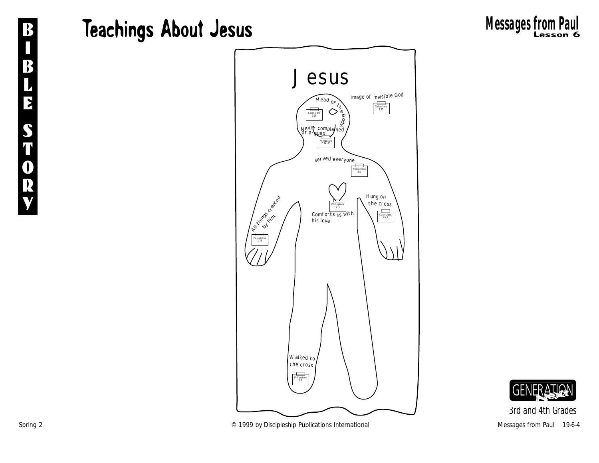## **Teachings About Jesus** Messages from Paul Messages from Paul



Spring 2 **Example 2** C 1999 by Discipleship Publications International Messages from Paul 19-6-4

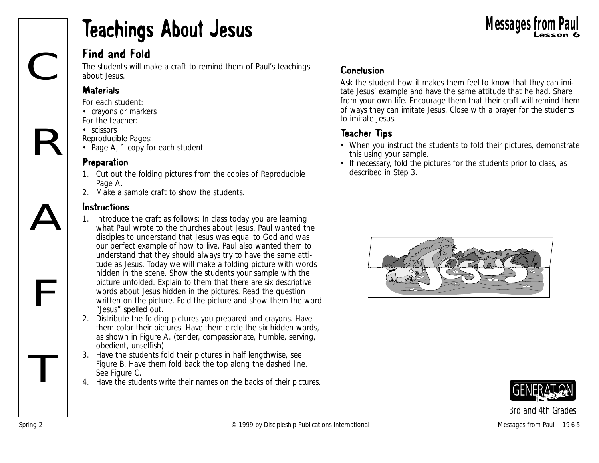### Teachings About Jesus

#### Find and Fold

The students will make a craft to remind them of Paul's teachings about Jesus.

#### **Materials**

*For each student:*

- crayons or markers *For the teacher:*
- scissors

*Reproducible Pages:*

• Page A, 1 copy for each student

#### Preparation

- 1. Cut out the folding pictures from the copies of Reproducible Page A.
- 2. Make a sample craft to show the students.

#### Instructions

- 1. Introduce the craft as follows: *In class today you are learning what Paul wrote to the churches about Jesus. Paul wanted the disciples to understand that Jesus was equal to God and was our perfect example of how to live. Paul also wanted them to understand that they should always try to have the same attitude as Jesus. Today we will make a folding picture with words hidden in the scene.* Show the students your sample with the picture unfolded. Explain to them that there are six descriptive words about Jesus hidden in the pictures. Read the question written on the picture. Fold the picture and show them the word "Jesus" spelled out.
- 2. Distribute the folding pictures you prepared and crayons. Have them color their pictures. Have them circle the six hidden words, as shown in Figure A. (tender, compassionate, humble, serving, obedient, unselfish)
- 3. Have the students fold their pictures in half lengthwise, see Figure B. Have them fold back the top along the dashed line. See Figure C.
- 4. Have the students write their names on the backs of their pictures.

#### **Conclusion**

Ask the student how it makes them feel to know that they can imitate Jesus' example and have the same attitude that he had. Share from your own life. Encourage them that their craft will remind them of ways they can imitate Jesus. Close with a prayer for the students to imitate Jesus.

**Messages from** 

#### Teacher Tips

- When you instruct the students to fold their pictures, demonstrate this using your sample.
- If necessary, fold the pictures for the students prior to class, as described in Step 3.







A

**F** 

T

 $\bigcap$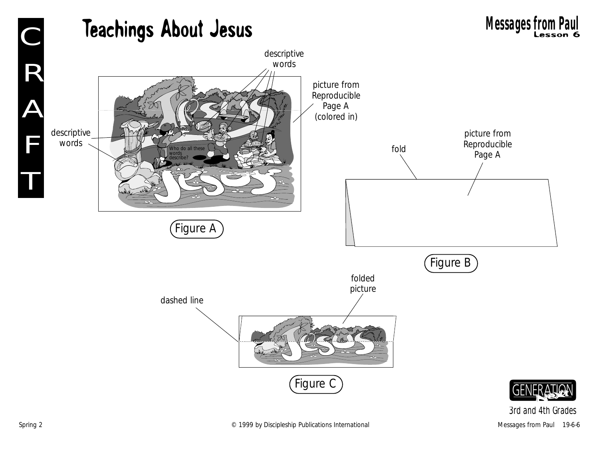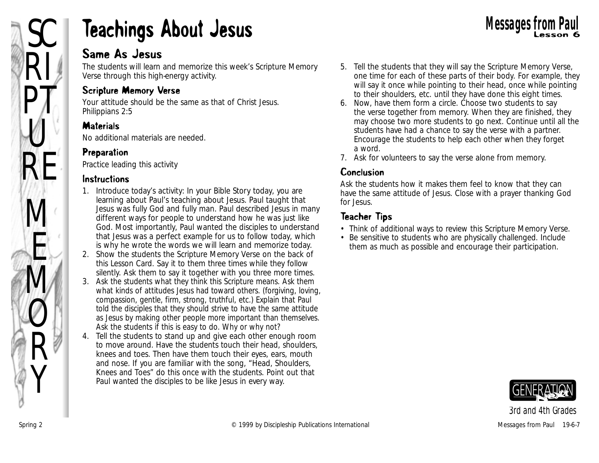

## SC **Teachings About Jesus** Messages from Paul

#### Same As Jesus

The students will learn and memorize this week's Scripture Memory Verse through this high-energy activity.

#### Scripture Memory Verse

Your attitude should be the same as that of Christ Jesus. *Philippians 2:5*

#### **Materials**

No additional materials are needed.

#### Preparation

Practice leading this activity

#### Instructions

- 1. Introduce today's activity: *In your Bible Story today, you are learning about Paul's teaching about Jesus. Paul taught that Jesus was fully God and fully man. Paul described Jesus in many different ways for people to understand how he was just like God. Most importantly, Paul wanted the disciples to understand that Jesus was a perfect example for us to follow today, which is why he wrote the words we will learn and memorize today.*
- 2. Show the students the Scripture Memory Verse on the back of this Lesson Card. Say it to them three times while they follow silently. Ask them to say it together with you three more times.
- 3. Ask the students what they think this Scripture means. Ask them what kinds of attitudes Jesus had toward others. (forgiving, loving, compassion, gentle, firm, strong, truthful, etc.) Explain that Paul told the disciples that they should strive to have the same attitude as Jesus by making other people more important than themselves. Ask the students if this is easy to do. Why or why not?
- 4. Tell the students to stand up and give each other enough room to move around. Have the students touch their head, shoulders, knees and toes. Then have them touch their eyes, ears, mouth and nose. If you are familiar with the song, "Head, Shoulders, Knees and Toes" do this once with the students. Point out that Paul wanted the disciples to be like Jesus in every way.
- 5. Tell the students that they will say the Scripture Memory Verse, one time for each of these parts of their body. For example, they will say it once while pointing to their head, once while pointing to their shoulders, etc. until they have done this eight times.
- 6. Now, have them form a circle. Choose two students to say the verse together from memory. When they are finished, they may choose two more students to go next. Continue until all the students have had a chance to say the verse with a partner. Encourage the students to help each other when they forget a word.
- 7. Ask for volunteers to say the verse alone from memory.

#### Conclusion

Ask the students how it makes them feel to know that they can have the same attitude of Jesus. Close with a prayer thanking God for Jesus.

#### Teacher Tips

- Think of additional ways to review this Scripture Memory Verse.
- Be sensitive to students who are physically challenged. Include them as much as possible and encourage their participation.

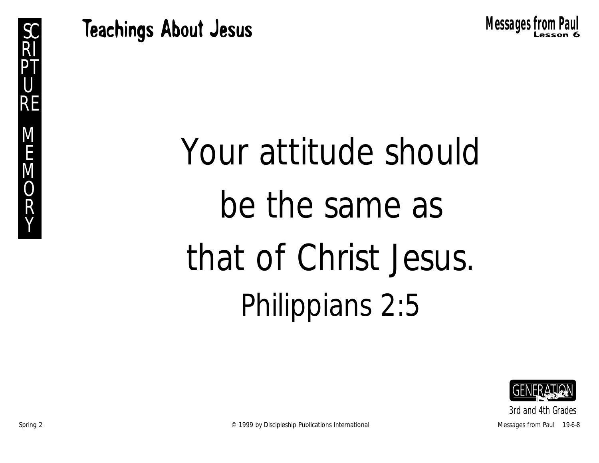**Teachings About Jesus** Messages from Paul Messages from Paul



# Your attitude should be the same as that of Christ Jesus. Philippians 2:5

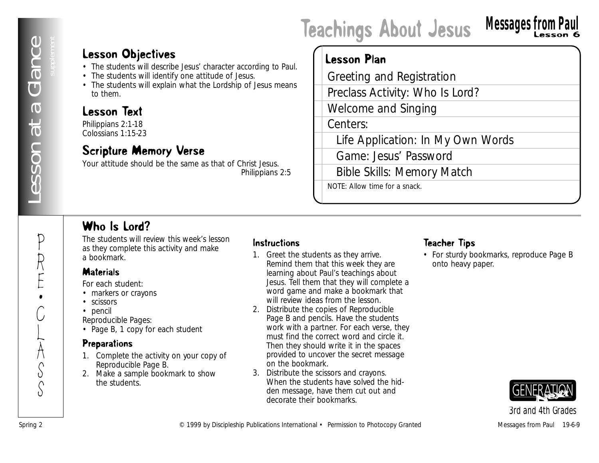P

R

E •

C

L

 $\sum_{i=1}^{n}$ 

 $\sum_{i=1}^{n}$ S

#### Teachings About Jesus **Messages from Paul**

#### Lesson Objectives

- The students will describe Jesus' character according to Paul.
- The students will identify one attitude of Jesus.
- The students will explain what the Lordship of Jesus means to them.

#### Lesson Text

Philippians 2:1-18 Colossians 1:15-23

#### Scripture Memory Verse

Your attitude should be the same as that of Christ Jesus. *Philippians 2:5*

#### Lesson Plan

Greeting and Registration

Preclass Activity: Who Is Lord?

Welcome and Singing

Centers:

Life Application: In My Own Words

Game: Jesus' Password

Bible Skills: Memory Match

NOTE: Allow time for a snack.

#### Who Is Lord?

The students will review this week's lesson as they complete this activity and make a bookmark.

#### **Materials**

*For each student:*

- markers or crayons
- scissors
- pencil

*Reproducible Pages:*

• Page B, 1 copy for each student

#### **Preparations**

- 1. Complete the activity on your copy of Reproducible Page B.
- 2. Make a sample bookmark to show the students.

#### Instructions

- 1. Greet the students as they arrive. Remind them that this week they are learning about Paul's teachings about Jesus. Tell them that they will complete a word game and make a bookmark that will review ideas from the lesson.
- **Lesson Objectives**<br>
The numbers and decisions and one would be a more to excell publications international Freedom The numbers of Permission Terms and Singlet Computer at a more of Contact at a more of Contact at a more 2. Distribute the copies of Reproducible Page B and pencils. Have the students work with a partner. For each verse, they must find the correct word and circle it. Then they should write it in the spaces provided to uncover the secret message on the bookmark.
	- 3. Distribute the scissors and crayons. When the students have solved the hidden message, have them cut out and decorate their bookmarks.

#### Teacher Tips

• For sturdy bookmarks, reproduce Page B onto heavy paper.

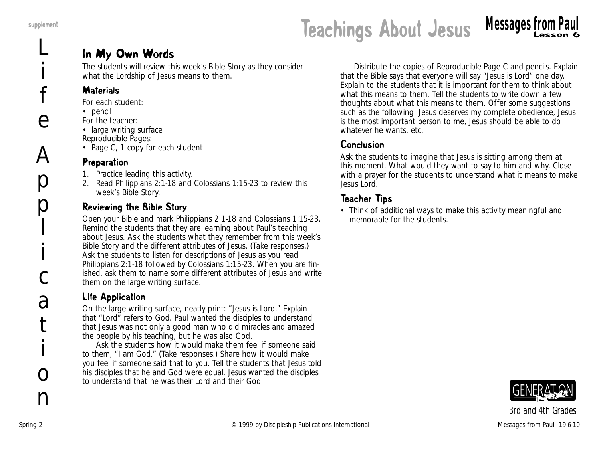L

i

f

e

 $\overline{\mathsf{A}}$ 

p

p

l

i

c

a

t

i

 $\Omega$ 

n



#### In My Own Words

The students will review this week's Bible Story as they consider what the Lordship of Jesus means to them.

#### **Materials**

*For each student:*

• pencil

*For the teacher:*

- large writing surface *Reproducible Pages:*
- Page C, 1 copy for each student

#### Preparation

- 1. Practice leading this activity.
- 2. Read Philippians 2:1-18 and Colossians 1:15-23 to review this week's Bible Story.

#### Reviewing the Bible Story

Open your Bible and mark Philippians 2:1-18 and Colossians 1:15-23. Remind the students that they are learning about Paul's teaching about Jesus. Ask the students what they remember from this week's Bible Story and the different attributes of Jesus. (Take responses.) Ask the students to listen for descriptions of Jesus as you read Philippians 2:1-18 followed by Colossians 1:15-23. When you are finished, ask them to name some different attributes of Jesus and write them on the large writing surface.

#### Life Application

On the large writing surface, neatly print: "Jesus is Lord." Explain that "Lord" refers to God. Paul wanted the disciples to understand that Jesus was not only a good man who did miracles and amazed the people by his teaching, but he was also God.

Ask the students how it would make them feel if someone said to them, "I am God." (Take responses.) Share how it would make you feel if someone said that to you. Tell the students that Jesus told his disciples that he and God were equal. Jesus wanted the disciples to understand that he was their Lord and their God.

Distribute the copies of Reproducible Page C and pencils. Explain that the Bible says that everyone will say "Jesus is Lord" one day. Explain to the students that it is important for them to think about what this means to them. Tell the students to write down a few thoughts about what this means to them. Offer some suggestions such as the following: Jesus deserves my complete obedience, Jesus is the most important person to me, Jesus should be able to do whatever he wants, etc.

#### Conclusion

Ask the students to imagine that Jesus is sitting among them at this moment. What would they want to say to him and why. Close with a prayer for the students to understand what it means to make Jesus Lord.

#### Teacher Tips

• Think of additional ways to make this activity meaningful and memorable for the students.

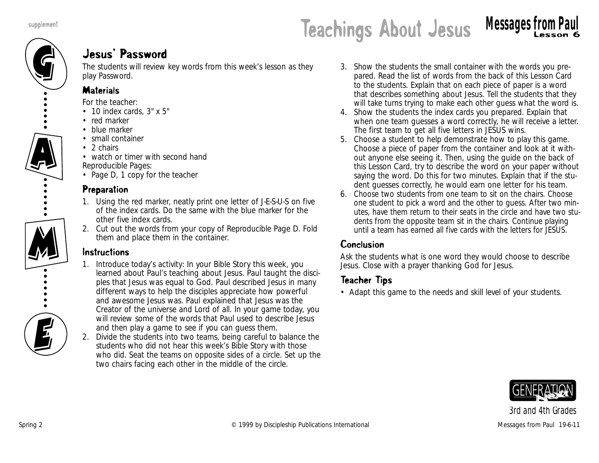

#### Jesus' Password

The students will review key words from this week's lesson as they play Password.

#### **Materials**

*For the teacher:*

- 10 index cards, 3" x 5"
- red marker
- blue marker
- small container
- 2 chairs
- watch or timer with second hand *Reproducible Pages:*
- Page D, 1 copy for the teacher

#### Preparation

- 1. Using the red marker, neatly print one letter of J-E-S-U-S on five of the index cards. Do the same with the blue marker for the other five index cards.
- 2. Cut out the words from your copy of Reproducible Page D. Fold them and place them in the container.

#### **Instructions**

- 1. Introduce today's activity: *In your Bible Story this week, you learned about Paul's teaching about Jesus. Paul taught the disciples that Jesus was equal to God. Paul described Jesus in many different ways to help the disciples appreciate how powerful and awesome Jesus was. Paul explained that Jesus was the Creator of the universe and Lord of all. In your game today, you will review some of the words that Paul used to describe Jesus and then play a game to see if you can guess them.*
- 2. Divide the students into two teams, being careful to balance the students who did not hear this week's Bible Story with those who did. Seat the teams on opposite sides of a circle. Set up the two chairs facing each other in the middle of the circle.
- 3. Show the students the small container with the words you prepared. Read the list of words from the back of this Lesson Card to the students. Explain that on each piece of paper is a word that describes something about Jesus. Tell the students that they will take turns trying to make each other quess what the word is.
- 4. Show the students the index cards you prepared. Explain that when one team guesses a word correctly, he will receive a letter. The first team to get all five letters in JESUS wins.
- 5. Choose a student to help demonstrate how to play this game. Choose a piece of paper from the container and look at it without anyone else seeing it. Then, using the guide on the back of this Lesson Card, try to describe the word on your paper without saying the word. Do this for two minutes. Explain that if the student guesses correctly, he would earn one letter for his team.
- 6. Choose two students from one team to sit on the chairs. Choose one student to pick a word and the other to guess. After two minutes, have them return to their seats in the circle and have two students from the opposite team sit in the chairs. Continue playing until a team has earned all five cards with the letters for JESUS.

#### Conclusion

Ask the students what is one word they would choose to describe Jesus. Close with a prayer thanking God for Jesus.

#### Teacher Tips

• Adapt this game to the needs and skill level of your students.

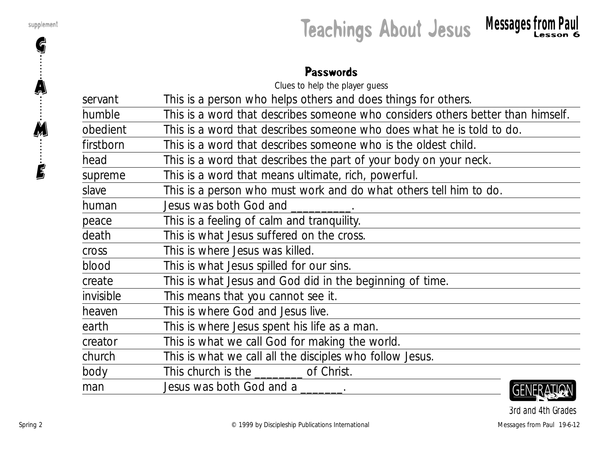G

A

M

E

## supplement **Supplement Cachings About Jesus Messages from Paul**

#### Passwords

Clues to help the player guess

| servant   | This is a person who helps others and does things for others.                   |
|-----------|---------------------------------------------------------------------------------|
| humble    | This is a word that describes someone who considers others better than himself. |
| obedient  | This is a word that describes someone who does what he is told to do.           |
| firstborn | This is a word that describes someone who is the oldest child.                  |
| head      | This is a word that describes the part of your body on your neck.               |
| supreme   | This is a word that means ultimate, rich, powerful.                             |
| slave     | This is a person who must work and do what others tell him to do.               |
| human     | Jesus was both God and                                                          |
| peace     | This is a feeling of calm and tranguility.                                      |
| death     | This is what Jesus suffered on the cross.                                       |
| cross     | This is where Jesus was killed.                                                 |
| blood     | This is what Jesus spilled for our sins.                                        |
| create    | This is what Jesus and God did in the beginning of time.                        |
| invisible | This means that you cannot see it.                                              |
| heaven    | This is where God and Jesus live.                                               |
| earth     | This is where Jesus spent his life as a man.                                    |
| creator   | This is what we call God for making the world.                                  |
| church    | This is what we call all the disciples who follow Jesus.                        |
| body      | This church is the __________ of Christ.                                        |
| man       | Jesus was both God and a _______.<br><b>GENERALIAN</b>                          |
|           |                                                                                 |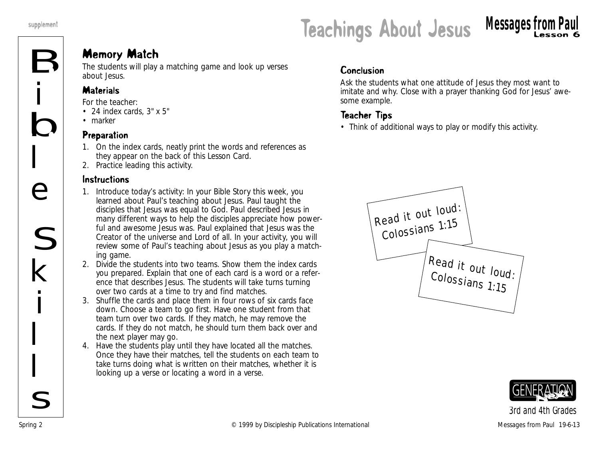

#### supplement **Supplement Messages from Paul** Supplement **Cachings About Jesus Messages from Paul** Memory Match

The students will play a matching game and look up verses about Jesus.

#### **Materials**

*For the teacher:*

- 24 index cards, 3" x 5"
- marker

#### Preparation

- 1. On the index cards, neatly print the words and references as they appear on the back of this Lesson Card.
- 2. Practice leading this activity.

#### Instructions

- 1. Introduce today's activity: *In your Bible Story this week, you learned about Paul's teaching about Jesus. Paul taught the disciples that Jesus was equal to God. Paul described Jesus in many different ways to help the disciples appreciate how powerful and awesome Jesus was. Paul explained that Jesus was the Creator of the universe and Lord of all. In your activity, you will review some of Paul's teaching about Jesus as you play a matching game.*
- 2. Divide the students into two teams. Show them the index cards you prepared. Explain that one of each card is a word or a reference that describes Jesus. The students will take turns turning over two cards at a time to try and find matches.
- 3. Shuffle the cards and place them in four rows of six cards face down. Choose a team to go first. Have one student from that team turn over two cards. If they match, he may remove the cards. If they do not match, he should turn them back over and the next player may go.
- 4. Have the students play until they have located all the matches. Once they have their matches, tell the students on each team to take turns doing what is written on their matches, whether it is looking up a verse or locating a word in a verse.

#### Conclusion

Ask the students what one attitude of Jesus they most want to imitate and why. Close with a prayer thanking God for Jesus' awesome example.

#### Teacher Tips

• Think of additional ways to play or modify this activity.



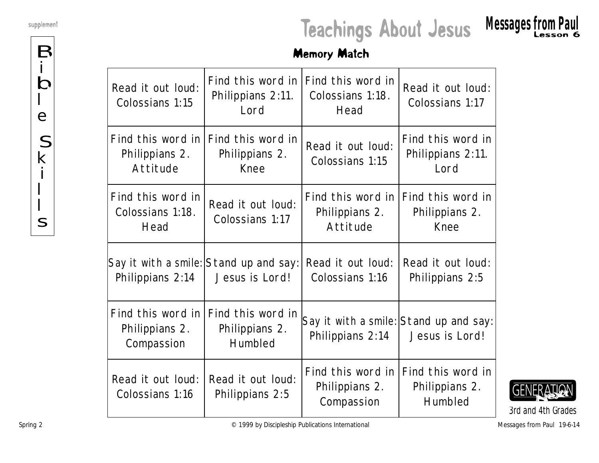B

i

b

l

e

S

k

i

l  $\overline{\mathsf{L}}$ 

s

#### Memory Match

| Read it out loud:<br>Colossians 1:15              | Find this word in<br>Philippians 2:11.<br>Lord           | Find this word in<br>Colossians 1:18.<br>Head              | Read it out loud:<br>Colossians 1:17           |
|---------------------------------------------------|----------------------------------------------------------|------------------------------------------------------------|------------------------------------------------|
| Find this word in<br>Philippians 2.<br>Attitude   | Find this word in<br>Philippians 2.<br><b>Knee</b>       | Read it out loud:<br>Colossians 1:15                       | Find this word in<br>Philippians 2:11.<br>Lord |
| Find this word in<br>Colossians 1:18.<br>Head     | Read it out loud:<br>Colossians 1:17                     | Find this word in<br>Philippians 2.<br>Attitude            | Find this word in<br>Philippians 2.<br>Knee    |
| Philippians 2:14                                  | Say it with a smile: Stand up and say:<br>Jesus is Lord! | Read it out loud:<br>Colossians 1:16                       | Read it out loud:<br>Philippians 2:5           |
| Find this word in<br>Philippians 2.<br>Compassion | Find this word in<br>Philippians 2.<br>Humbled           | Say it with a smile: Stand up and say:<br>Philippians 2:14 | Jesus is Lord!                                 |
| Read it out loud:<br>Colossians 1:16              | Read it out loud:<br>Philippians 2:5                     | Find this word in<br>Philippians 2.<br>Compassion          | Find this word in<br>Philippians 2.<br>Humbled |

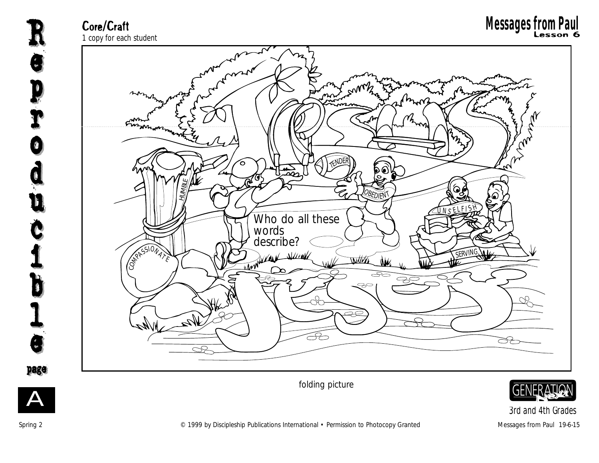## **Core/Craft**<br>1 copy for each student



folding picture



*3rd and 4th Grades*

A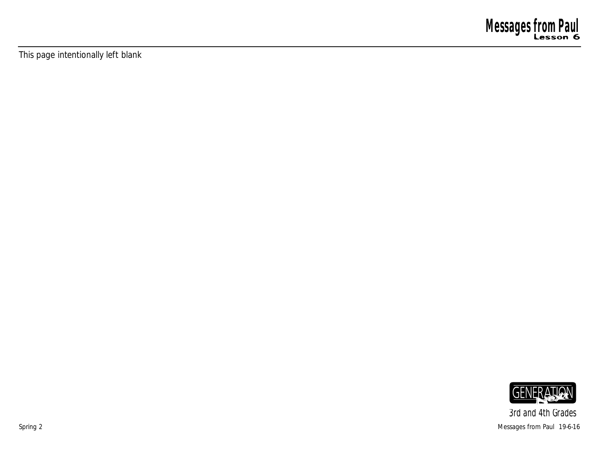This page intentionally left blank



Spring 2 Messages from Paul 19-6-16 *3rd and 4th Grades*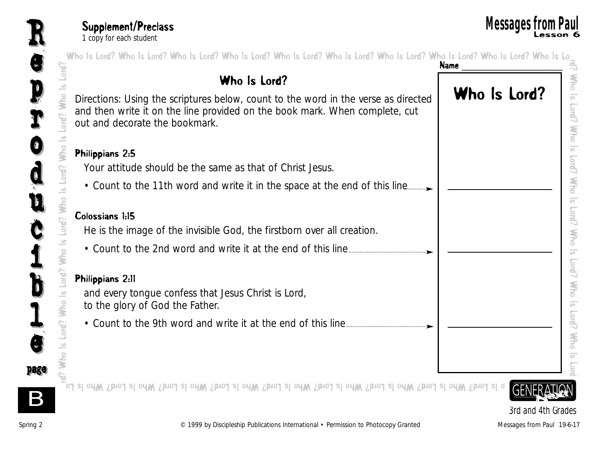**Supplement/Preclass**<br>1 copy for each student



Who Is Lord? Who Is Lord? Who Is Lord? Who Is Lord? Who Is Lord? Who Is Lord? Who Is Lord? Who Is Lord? Who Is Lord? Who Is Lo



*3rd and 4th Grades*

B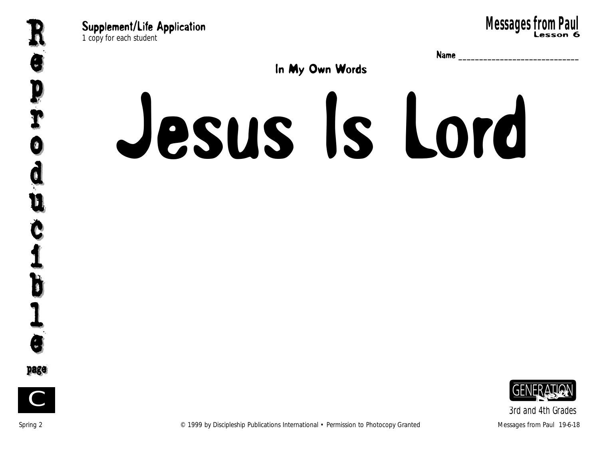| TO | Supplement/Life Application | <b>Messages from Paul</b> |  |
|----|-----------------------------|---------------------------|--|
| r  | copy for each student       | Lesson 6                  |  |
|    |                             |                           |  |

1 copy for each student Lesson 6

Name **\_\_\_\_\_\_\_\_\_\_\_\_\_\_\_\_\_\_\_\_\_\_\_\_\_\_\_\_\_**

In My Own Words

# Jesus Is Lord

e

e

R

p

p

r

r

o o

d

d

u

u

c

Č

i

i

b

b

 $\mathbf{I}% _{t}\left| \mathbf{I}_{t}\right| =\mathbf{I}_{t}+\mathbf{I}_{t}+\mathbf{I}_{t}+\mathbf{I}_{t}+\mathbf{I}_{t}+\mathbf{I}_{t}+\mathbf{I}_{t}+\mathbf{I}_{t}+\mathbf{I}_{t}+\mathbf{I}_{t}+\mathbf{I}_{t}+\mathbf{I}_{t}+\mathbf{I}_{t}+\mathbf{I}_{t}+\mathbf{I}_{t}+\mathbf{I}_{t}+\mathbf{I}_{t}+\mathbf{I}_{t}+\mathbf{I}_{t}+\mathbf{I}_{t}+\mathbf{I}_{t}+\mathbf{I}_{t}+\mathbf{I}_{t}+\mathbf{I}_{t}+\mathbf{I$ 

l

e

e



*3rd and 4th Grades*

Spring 2 **Spring 2** Messages from Paul 19-6-18